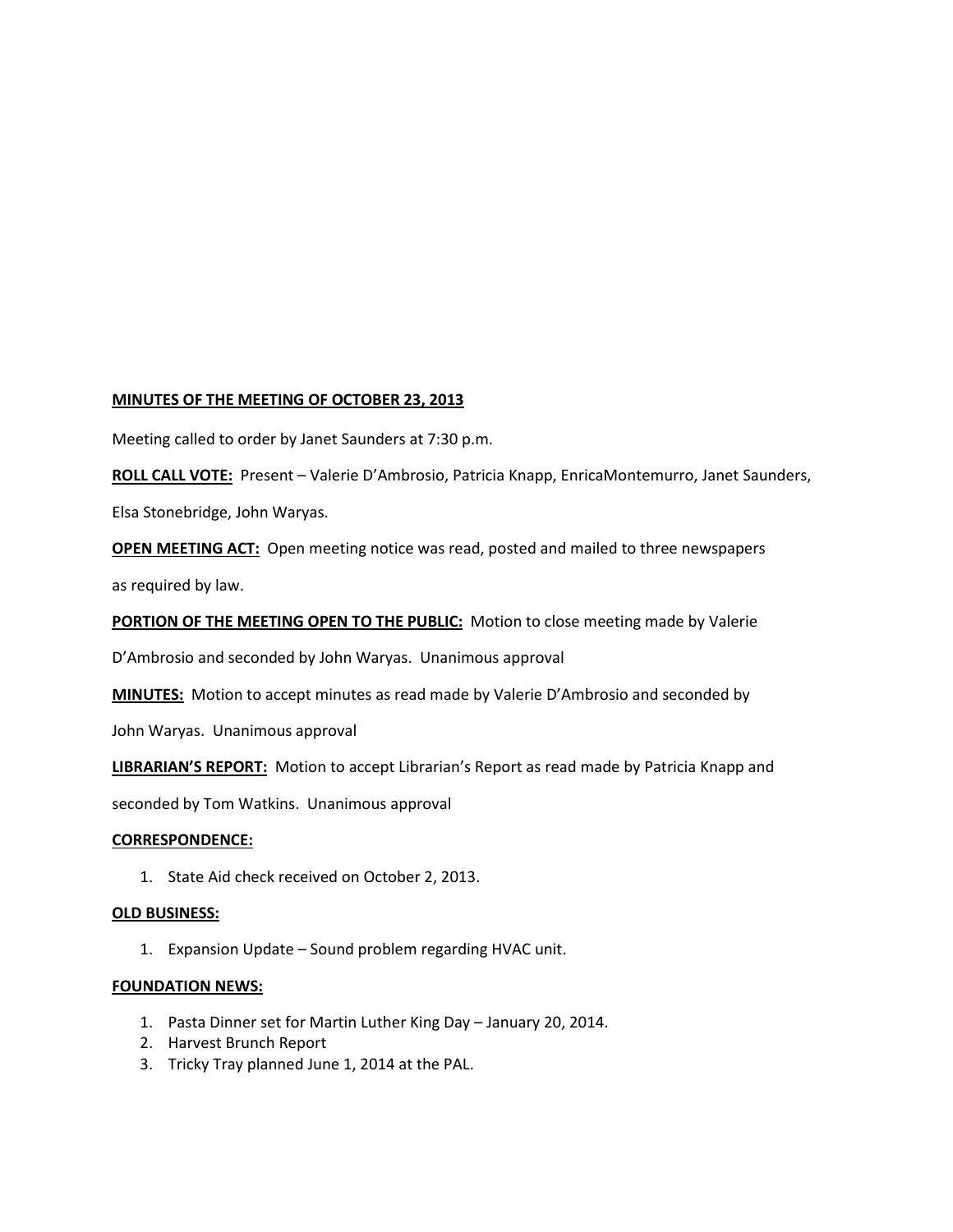## **MINUTES OF THE MEETING OF OCTOBER 23, 2013**

Meeting called to order by Janet Saunders at 7:30 p.m.

**ROLL CALL VOTE:** Present – Valerie D'Ambrosio, Patricia Knapp, EnricaMontemurro, Janet Saunders, Elsa Stonebridge, John Waryas.

**OPEN MEETING ACT:** Open meeting notice was read, posted and mailed to three newspapers as required by law.

**PORTION OF THE MEETING OPEN TO THE PUBLIC:** Motion to close meeting made by Valerie

D'Ambrosio and seconded by John Waryas. Unanimous approval

**MINUTES:** Motion to accept minutes as read made by Valerie D'Ambrosio and seconded by

John Waryas. Unanimous approval

**LIBRARIAN'S REPORT:** Motion to accept Librarian's Report as read made by Patricia Knapp and

seconded by Tom Watkins. Unanimous approval

### **CORRESPONDENCE:**

1. State Aid check received on October 2, 2013.

### **OLD BUSINESS:**

1. Expansion Update – Sound problem regarding HVAC unit.

# **FOUNDATION NEWS:**

- 1. Pasta Dinner set for Martin Luther King Day January 20, 2014.
- 2. Harvest Brunch Report
- 3. Tricky Tray planned June 1, 2014 at the PAL.